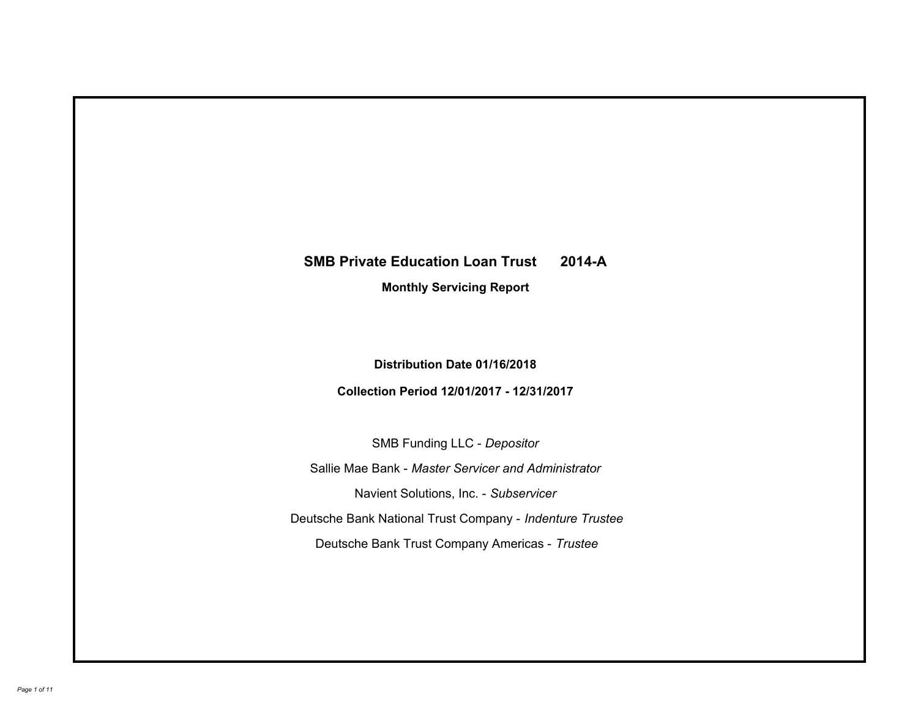# **SMB Private Education Loan Trust 2014-A Monthly Servicing Report**

# **Distribution Date 01/16/2018**

# **Collection Period 12/01/2017 - 12/31/2017**

SMB Funding LLC - *Depositor*

Sallie Mae Bank - *Master Servicer and Administrator*

Navient Solutions, Inc. - *Subservicer*

Deutsche Bank National Trust Company - *Indenture Trustee*

Deutsche Bank Trust Company Americas - *Trustee*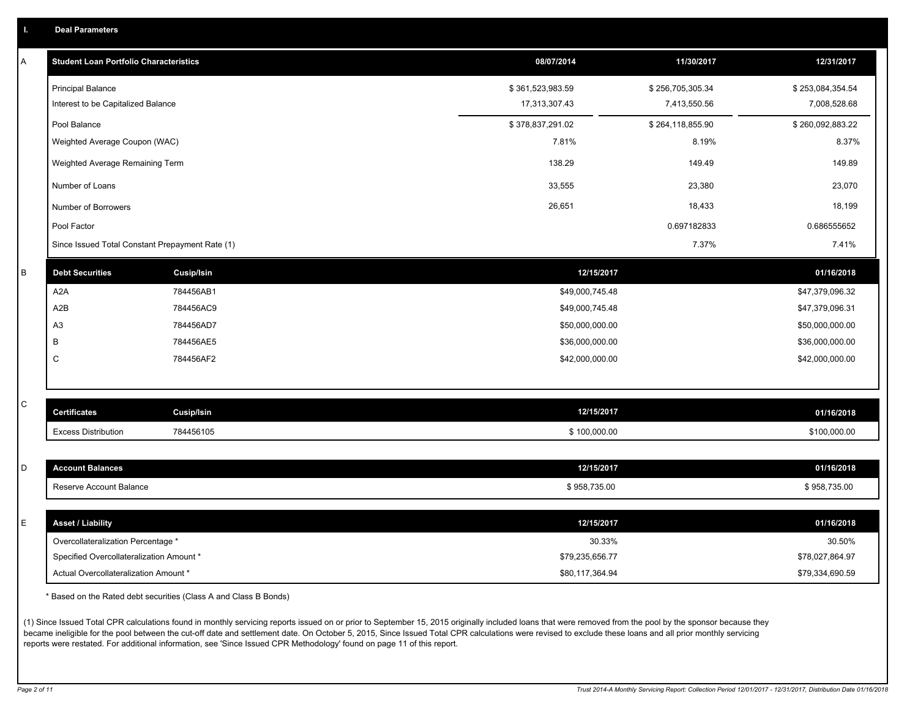|  |  |  |  | <b>Deal Parameters</b> |  |
|--|--|--|--|------------------------|--|
|--|--|--|--|------------------------|--|

| A | <b>Student Loan Portfolio Characteristics</b>   |                   | 08/07/2014       | 11/30/2017       | 12/31/2017       |
|---|-------------------------------------------------|-------------------|------------------|------------------|------------------|
|   | <b>Principal Balance</b>                        |                   | \$361,523,983.59 | \$256,705,305.34 | \$253,084,354.54 |
|   | Interest to be Capitalized Balance              |                   | 17,313,307.43    | 7,413,550.56     | 7,008,528.68     |
|   | Pool Balance                                    |                   | \$378,837,291.02 | \$264,118,855.90 | \$260,092,883.22 |
|   | Weighted Average Coupon (WAC)                   |                   | 7.81%            | 8.19%            | 8.37%            |
|   | Weighted Average Remaining Term                 |                   | 138.29           | 149.49           | 149.89           |
|   | Number of Loans                                 |                   | 33,555           | 23,380           | 23,070           |
|   | Number of Borrowers                             |                   | 26,651           | 18,433           | 18,199           |
|   | Pool Factor                                     |                   |                  | 0.697182833      | 0.686555652      |
|   | Since Issued Total Constant Prepayment Rate (1) |                   |                  | 7.37%            | 7.41%            |
| B | <b>Debt Securities</b>                          | <b>Cusip/Isin</b> | 12/15/2017       |                  | 01/16/2018       |
|   | A <sub>2</sub> A                                | 784456AB1         | \$49,000,745.48  |                  | \$47,379,096.32  |
|   | A <sub>2</sub> B                                | 784456AC9         | \$49,000,745.48  |                  | \$47,379,096.31  |
|   | A <sub>3</sub>                                  | 784456AD7         | \$50,000,000.00  |                  | \$50,000,000.00  |
|   | B                                               | 784456AE5         | \$36,000,000.00  |                  | \$36,000,000.00  |
|   | C                                               | 784456AF2         | \$42,000,000.00  |                  | \$42,000,000.00  |
|   |                                                 |                   |                  |                  |                  |
| С | <b>Certificates</b>                             | <b>Cusip/Isin</b> | 12/15/2017       |                  | 01/16/2018       |
|   | <b>Excess Distribution</b>                      | 784456105         | \$100,000.00     |                  | \$100,000.00     |
|   |                                                 |                   |                  |                  |                  |
| D | <b>Account Balances</b>                         |                   | 12/15/2017       |                  | 01/16/2018       |
|   | Reserve Account Balance                         |                   | \$958,735.00     |                  | \$958,735.00     |
|   |                                                 |                   |                  |                  |                  |
| E | <b>Asset / Liability</b>                        |                   | 12/15/2017       |                  | 01/16/2018       |
|   | Overcollateralization Percentage *              |                   | 30.33%           |                  | 30.50%           |
|   | Specified Overcollateralization Amount *        |                   | \$79,235,656.77  |                  | \$78,027,864.97  |
|   | Actual Overcollateralization Amount *           |                   | \$80,117,364.94  |                  | \$79,334,690.59  |

\* Based on the Rated debt securities (Class A and Class B Bonds)

(1) Since Issued Total CPR calculations found in monthly servicing reports issued on or prior to September 15, 2015 originally included loans that were removed from the pool by the sponsor because they became ineligible for the pool between the cut-off date and settlement date. On October 5, 2015, Since Issued Total CPR calculations were revised to exclude these loans and all prior monthly servicing reports were restated. For additional information, see 'Since Issued CPR Methodology' found on page 11 of this report.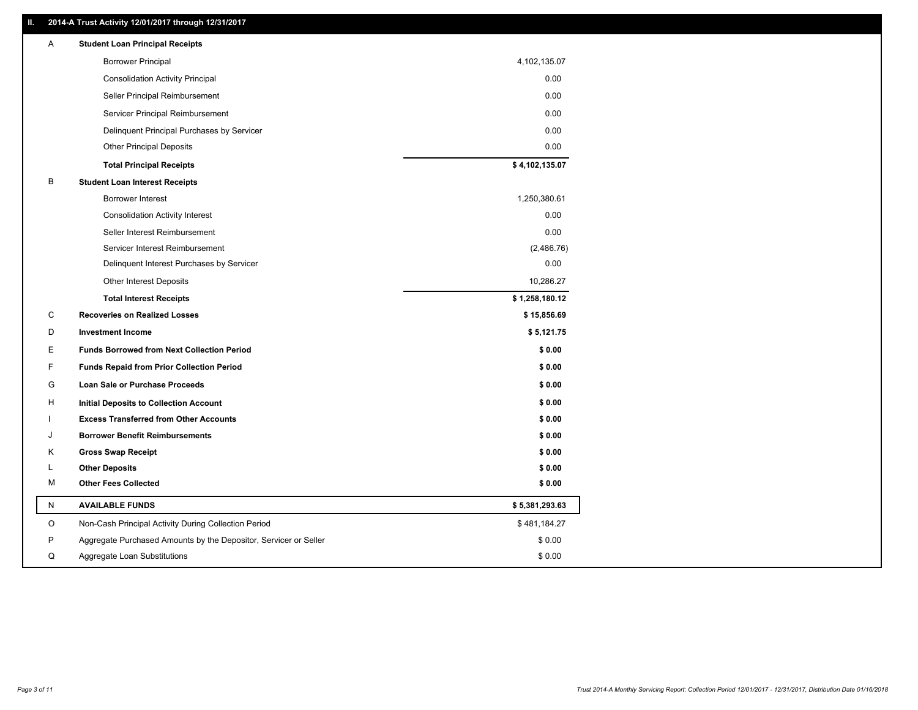### **II. 2014-A Trust Activity 12/01/2017 through 12/31/2017**

| Α | <b>Student Loan Principal Receipts</b>                           |                |
|---|------------------------------------------------------------------|----------------|
|   | <b>Borrower Principal</b>                                        | 4,102,135.07   |
|   | <b>Consolidation Activity Principal</b>                          | 0.00           |
|   | Seller Principal Reimbursement                                   | 0.00           |
|   | Servicer Principal Reimbursement                                 | 0.00           |
|   | Delinquent Principal Purchases by Servicer                       | 0.00           |
|   | <b>Other Principal Deposits</b>                                  | 0.00           |
|   | <b>Total Principal Receipts</b>                                  | \$4,102,135.07 |
| В | <b>Student Loan Interest Receipts</b>                            |                |
|   | <b>Borrower Interest</b>                                         | 1,250,380.61   |
|   | <b>Consolidation Activity Interest</b>                           | 0.00           |
|   | Seller Interest Reimbursement                                    | 0.00           |
|   | Servicer Interest Reimbursement                                  | (2,486.76)     |
|   | Delinquent Interest Purchases by Servicer                        | 0.00           |
|   | <b>Other Interest Deposits</b>                                   | 10,286.27      |
|   | <b>Total Interest Receipts</b>                                   | \$1,258,180.12 |
| C | <b>Recoveries on Realized Losses</b>                             | \$15,856.69    |
| D | <b>Investment Income</b>                                         | \$5,121.75     |
| E | <b>Funds Borrowed from Next Collection Period</b>                | \$0.00         |
| F | <b>Funds Repaid from Prior Collection Period</b>                 | \$0.00         |
| G | Loan Sale or Purchase Proceeds                                   | \$0.00         |
| н | <b>Initial Deposits to Collection Account</b>                    | \$0.00         |
|   | <b>Excess Transferred from Other Accounts</b>                    | \$0.00         |
|   | <b>Borrower Benefit Reimbursements</b>                           | \$0.00         |
| κ | <b>Gross Swap Receipt</b>                                        | \$0.00         |
| L | <b>Other Deposits</b>                                            | \$0.00         |
| М | <b>Other Fees Collected</b>                                      | \$0.00         |
| N | <b>AVAILABLE FUNDS</b>                                           | \$5,381,293.63 |
| O | Non-Cash Principal Activity During Collection Period             | \$481,184.27   |
| P | Aggregate Purchased Amounts by the Depositor, Servicer or Seller | \$0.00         |
| Q | Aggregate Loan Substitutions                                     | \$0.00         |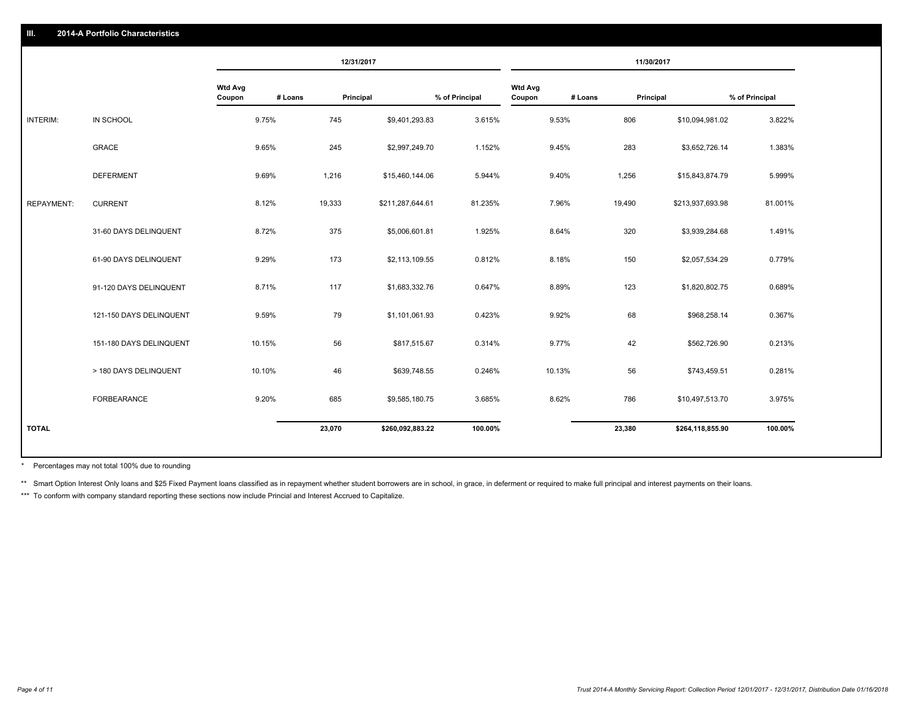### **III. 2014-A Portfolio Characteristics**

|                   |                         |                          |         | 12/31/2017         |                |                          |         | 11/30/2017 |                  |                |
|-------------------|-------------------------|--------------------------|---------|--------------------|----------------|--------------------------|---------|------------|------------------|----------------|
|                   |                         | <b>Wtd Avg</b><br>Coupon | # Loans | Principal          | % of Principal | <b>Wtd Avg</b><br>Coupon | # Loans | Principal  |                  | % of Principal |
| INTERIM:          | IN SCHOOL               | 9.75%                    | 745     | \$9,401,293.83     | 3.615%         |                          | 9.53%   | 806        | \$10,094,981.02  | 3.822%         |
|                   | <b>GRACE</b>            | 9.65%                    | 245     | \$2,997,249.70     | 1.152%         |                          | 9.45%   | 283        | \$3,652,726.14   | 1.383%         |
|                   | <b>DEFERMENT</b>        | 9.69%                    | 1,216   | \$15,460,144.06    | 5.944%         |                          | 9.40%   | 1,256      | \$15,843,874.79  | 5.999%         |
| <b>REPAYMENT:</b> | <b>CURRENT</b>          | 8.12%                    | 19,333  | \$211,287,644.61   | 81.235%        |                          | 7.96%   | 19,490     | \$213,937,693.98 | 81.001%        |
|                   | 31-60 DAYS DELINQUENT   | 8.72%                    | 375     | \$5,006,601.81     | 1.925%         |                          | 8.64%   | 320        | \$3,939,284.68   | 1.491%         |
|                   | 61-90 DAYS DELINQUENT   | 9.29%                    | 173     | \$2,113,109.55     | 0.812%         |                          | 8.18%   | 150        | \$2,057,534.29   | 0.779%         |
|                   | 91-120 DAYS DELINQUENT  | 8.71%                    | 117     | \$1,683,332.76     | 0.647%         |                          | 8.89%   | 123        | \$1,820,802.75   | 0.689%         |
|                   | 121-150 DAYS DELINQUENT | 9.59%                    | 79      | \$1,101,061.93     | 0.423%         |                          | 9.92%   | 68         | \$968,258.14     | 0.367%         |
|                   | 151-180 DAYS DELINQUENT | 10.15%                   |         | 56<br>\$817,515.67 | 0.314%         |                          | 9.77%   | 42         | \$562,726.90     | 0.213%         |
|                   | > 180 DAYS DELINQUENT   | 10.10%                   |         | 46<br>\$639,748.55 | 0.246%         |                          | 10.13%  | 56         | \$743,459.51     | 0.281%         |
|                   | FORBEARANCE             | 9.20%                    | 685     | \$9,585,180.75     | 3.685%         |                          | 8.62%   | 786        | \$10,497,513.70  | 3.975%         |
| <b>TOTAL</b>      |                         |                          | 23,070  | \$260,092,883.22   | 100.00%        |                          |         | 23,380     | \$264,118,855.90 | 100.00%        |

Percentages may not total 100% due to rounding \*

\*\* Smart Option Interest Only loans and \$25 Fixed Payment loans classified as in repayment whether student borrowers are in school, in grace, in deferment or required to make full principal and interest payments on their l

\*\*\* To conform with company standard reporting these sections now include Princial and Interest Accrued to Capitalize.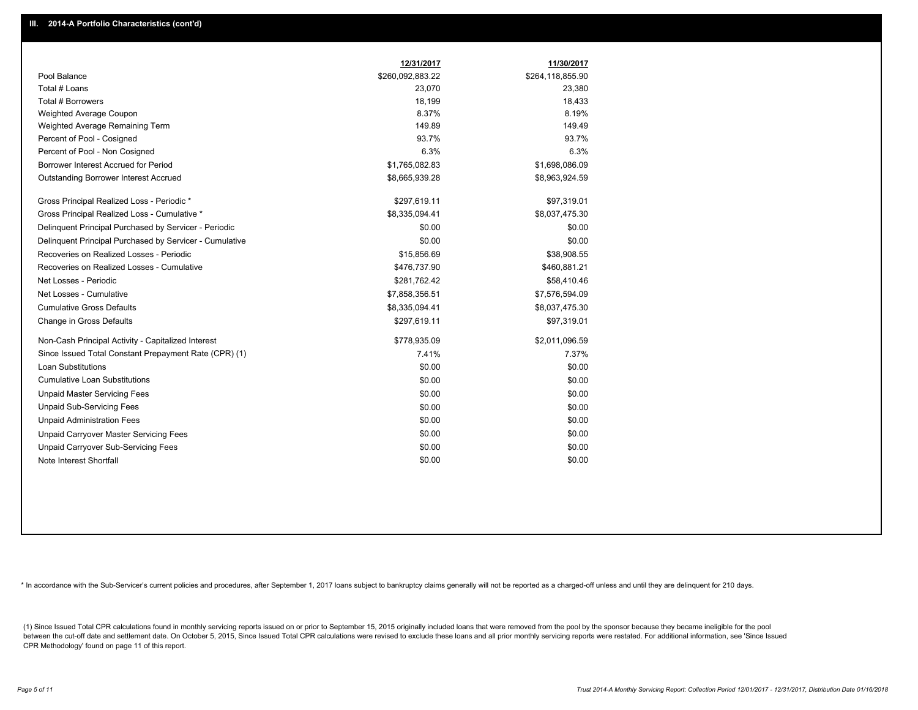|                                                         | 12/31/2017       | 11/30/2017       |
|---------------------------------------------------------|------------------|------------------|
| Pool Balance                                            | \$260,092,883.22 | \$264,118,855.90 |
| Total # Loans                                           | 23,070           | 23,380           |
| Total # Borrowers                                       | 18,199           | 18,433           |
| Weighted Average Coupon                                 | 8.37%            | 8.19%            |
| Weighted Average Remaining Term                         | 149.89           | 149.49           |
| Percent of Pool - Cosigned                              | 93.7%            | 93.7%            |
| Percent of Pool - Non Cosigned                          | 6.3%             | 6.3%             |
| Borrower Interest Accrued for Period                    | \$1,765,082.83   | \$1,698,086.09   |
| Outstanding Borrower Interest Accrued                   | \$8,665,939.28   | \$8,963,924.59   |
| Gross Principal Realized Loss - Periodic *              | \$297,619.11     | \$97,319.01      |
| Gross Principal Realized Loss - Cumulative *            | \$8,335,094.41   | \$8,037,475.30   |
| Delinquent Principal Purchased by Servicer - Periodic   | \$0.00           | \$0.00           |
| Delinquent Principal Purchased by Servicer - Cumulative | \$0.00           | \$0.00           |
| Recoveries on Realized Losses - Periodic                | \$15,856.69      | \$38,908.55      |
| Recoveries on Realized Losses - Cumulative              | \$476,737.90     | \$460,881.21     |
| Net Losses - Periodic                                   | \$281,762.42     | \$58,410.46      |
| Net Losses - Cumulative                                 | \$7,858,356.51   | \$7,576,594.09   |
| <b>Cumulative Gross Defaults</b>                        | \$8,335,094.41   | \$8,037,475.30   |
| Change in Gross Defaults                                | \$297,619.11     | \$97,319.01      |
| Non-Cash Principal Activity - Capitalized Interest      | \$778,935.09     | \$2,011,096.59   |
| Since Issued Total Constant Prepayment Rate (CPR) (1)   | 7.41%            | 7.37%            |
| Loan Substitutions                                      | \$0.00           | \$0.00           |
| <b>Cumulative Loan Substitutions</b>                    | \$0.00           | \$0.00           |
| <b>Unpaid Master Servicing Fees</b>                     | \$0.00           | \$0.00           |
| <b>Unpaid Sub-Servicing Fees</b>                        | \$0.00           | \$0.00           |
| <b>Unpaid Administration Fees</b>                       | \$0.00           | \$0.00           |
| Unpaid Carryover Master Servicing Fees                  | \$0.00           | \$0.00           |
| Unpaid Carryover Sub-Servicing Fees                     | \$0.00           | \$0.00           |
| Note Interest Shortfall                                 | \$0.00           | \$0.00           |

\* In accordance with the Sub-Servicer's current policies and procedures, after September 1, 2017 loans subject to bankruptcy claims generally will not be reported as a charged-off unless and until they are delinquent for 2

(1) Since Issued Total CPR calculations found in monthly servicing reports issued on or prior to September 15, 2015 originally included loans that were removed from the pool by the sponsor because they became ineligible fo between the cut-off date and settlement date. On October 5, 2015, Since Issued Total CPR calculations were revised to exclude these loans and all prior monthly servicing reports were restated. For additional information, s CPR Methodology' found on page 11 of this report.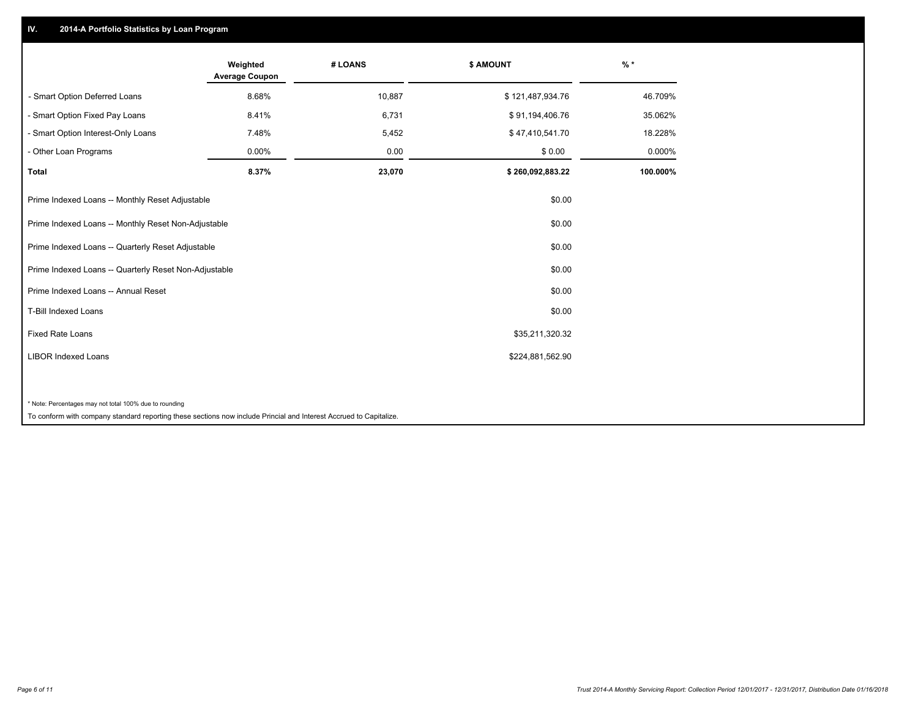## **IV. 2014-A Portfolio Statistics by Loan Program**

|                                                                                                                    | Weighted<br><b>Average Coupon</b> | # LOANS | \$ AMOUNT        | $%$ *    |
|--------------------------------------------------------------------------------------------------------------------|-----------------------------------|---------|------------------|----------|
| - Smart Option Deferred Loans                                                                                      | 8.68%                             | 10,887  | \$121,487,934.76 | 46.709%  |
| - Smart Option Fixed Pay Loans                                                                                     | 8.41%                             | 6,731   | \$91,194,406.76  | 35.062%  |
| - Smart Option Interest-Only Loans                                                                                 | 7.48%                             | 5,452   | \$47,410,541.70  | 18.228%  |
| - Other Loan Programs                                                                                              | 0.00%                             | 0.00    | \$0.00           | 0.000%   |
| <b>Total</b>                                                                                                       | 8.37%                             | 23,070  | \$260,092,883.22 | 100.000% |
| Prime Indexed Loans -- Monthly Reset Adjustable                                                                    |                                   |         | \$0.00           |          |
| Prime Indexed Loans -- Monthly Reset Non-Adjustable                                                                |                                   |         | \$0.00           |          |
| Prime Indexed Loans -- Quarterly Reset Adjustable                                                                  |                                   |         | \$0.00           |          |
| Prime Indexed Loans -- Quarterly Reset Non-Adjustable                                                              |                                   |         | \$0.00           |          |
| Prime Indexed Loans -- Annual Reset                                                                                |                                   |         | \$0.00           |          |
| T-Bill Indexed Loans                                                                                               |                                   |         | \$0.00           |          |
| <b>Fixed Rate Loans</b>                                                                                            |                                   |         | \$35,211,320.32  |          |
| <b>LIBOR Indexed Loans</b>                                                                                         |                                   |         | \$224,881,562.90 |          |
|                                                                                                                    |                                   |         |                  |          |
| * Note: Percentages may not total 100% due to rounding                                                             |                                   |         |                  |          |
| To conform with company standard reporting these sections now include Princial and Interest Accrued to Capitalize. |                                   |         |                  |          |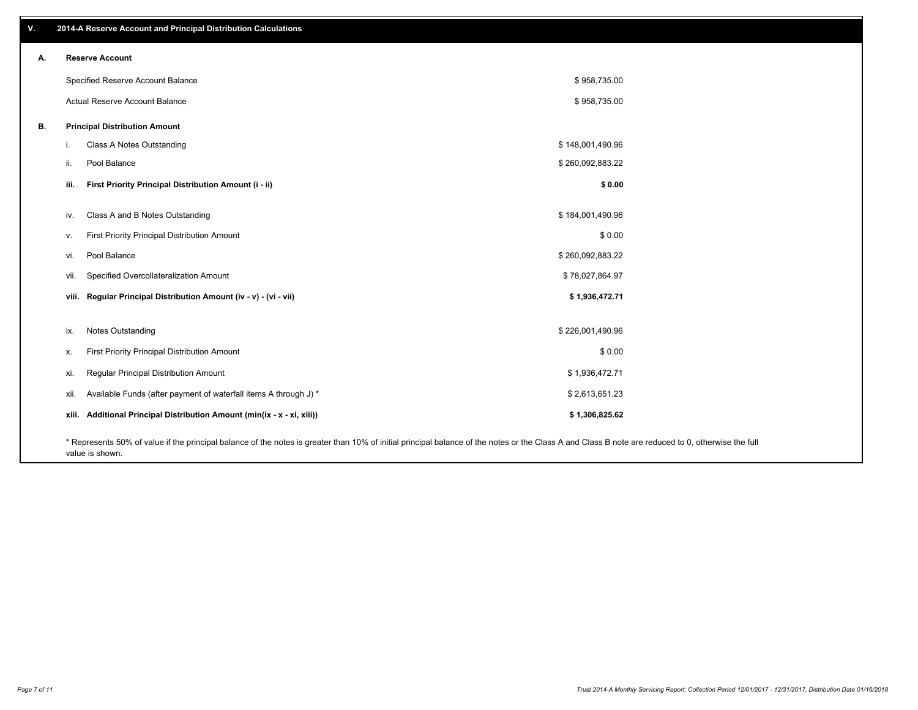| v. |      | 2014-A Reserve Account and Principal Distribution Calculations                                                                                                                                     |                  |  |
|----|------|----------------------------------------------------------------------------------------------------------------------------------------------------------------------------------------------------|------------------|--|
| А. |      | <b>Reserve Account</b>                                                                                                                                                                             |                  |  |
|    |      | Specified Reserve Account Balance                                                                                                                                                                  | \$958,735.00     |  |
|    |      | Actual Reserve Account Balance                                                                                                                                                                     | \$958,735.00     |  |
| В. |      | <b>Principal Distribution Amount</b>                                                                                                                                                               |                  |  |
|    | i.   | Class A Notes Outstanding                                                                                                                                                                          | \$148,001,490.96 |  |
|    | ii.  | Pool Balance                                                                                                                                                                                       | \$260,092,883.22 |  |
|    | iii. | First Priority Principal Distribution Amount (i - ii)                                                                                                                                              | \$0.00           |  |
|    | iv.  | Class A and B Notes Outstanding                                                                                                                                                                    | \$184,001,490.96 |  |
|    | V.   | First Priority Principal Distribution Amount                                                                                                                                                       | \$0.00           |  |
|    | vi.  | Pool Balance                                                                                                                                                                                       | \$260,092,883.22 |  |
|    | vii. | Specified Overcollateralization Amount                                                                                                                                                             | \$78,027,864.97  |  |
|    |      | viii. Regular Principal Distribution Amount (iv - v) - (vi - vii)                                                                                                                                  | \$1,936,472.71   |  |
|    |      |                                                                                                                                                                                                    |                  |  |
|    | ix.  | Notes Outstanding                                                                                                                                                                                  | \$226,001,490.96 |  |
|    | х.   | First Priority Principal Distribution Amount                                                                                                                                                       | \$0.00           |  |
|    | xi.  | Regular Principal Distribution Amount                                                                                                                                                              | \$1,936,472.71   |  |
|    | xii. | Available Funds (after payment of waterfall items A through J) *                                                                                                                                   | \$2,613,651.23   |  |
|    |      | xiii. Additional Principal Distribution Amount (min(ix - x - xi, xiii))                                                                                                                            | \$1,306,825.62   |  |
|    |      | * Represents 50% of value if the principal balance of the notes is greater than 10% of initial principal balance of the notes or the Class A and Class B note are reduced to 0, otherwise the full |                  |  |

value is shown.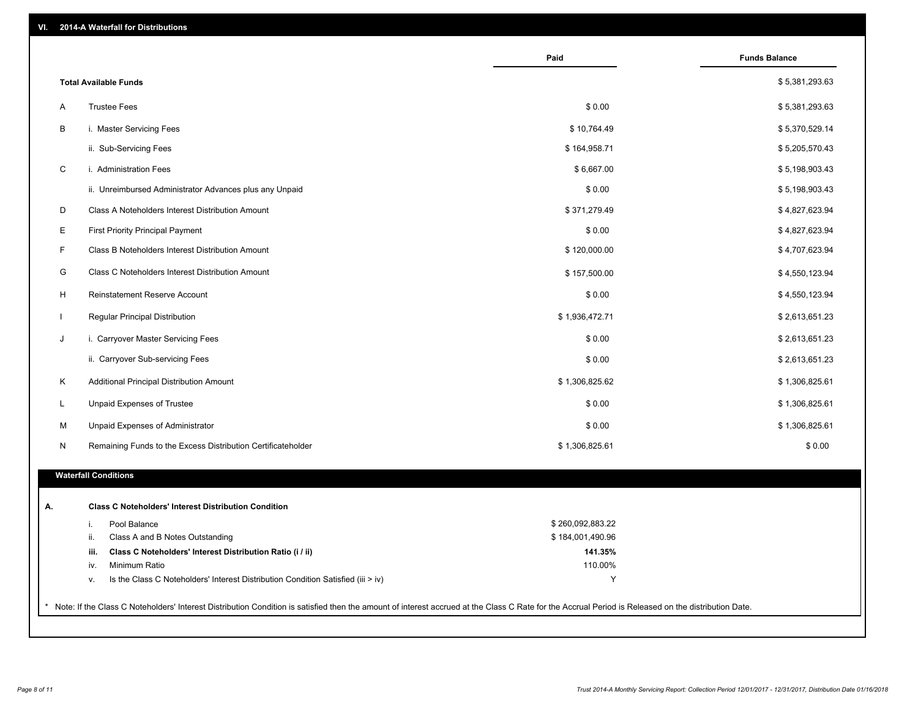| VI. |  | 2014-A Waterfall for Distributions |  |  |  |
|-----|--|------------------------------------|--|--|--|
|-----|--|------------------------------------|--|--|--|

|                                                                                        | Paid             | <b>Funds Balance</b> |
|----------------------------------------------------------------------------------------|------------------|----------------------|
| <b>Total Available Funds</b>                                                           |                  | \$5,381,293.63       |
| <b>Trustee Fees</b><br>Α                                                               | \$0.00           | \$5,381,293.63       |
| В<br>i. Master Servicing Fees                                                          | \$10,764.49      | \$5,370,529.14       |
| ii. Sub-Servicing Fees                                                                 | \$164,958.71     | \$5,205,570.43       |
| C<br>i. Administration Fees                                                            | \$6,667.00       | \$5,198,903.43       |
| ii. Unreimbursed Administrator Advances plus any Unpaid                                | \$0.00           | \$5,198,903.43       |
| D<br>Class A Noteholders Interest Distribution Amount                                  | \$371,279.49     | \$4,827,623.94       |
| Е<br><b>First Priority Principal Payment</b>                                           | \$0.00           | \$4,827,623.94       |
| F<br>Class B Noteholders Interest Distribution Amount                                  | \$120,000.00     | \$4,707,623.94       |
| G<br>Class C Noteholders Interest Distribution Amount                                  | \$157,500.00     | \$4,550,123.94       |
| H<br>Reinstatement Reserve Account                                                     | \$0.00           | \$4,550,123.94       |
| Regular Principal Distribution<br>$\mathbf{I}$                                         | \$1,936,472.71   | \$2,613,651.23       |
| J<br>i. Carryover Master Servicing Fees                                                | \$0.00           | \$2,613,651.23       |
| ii. Carryover Sub-servicing Fees                                                       | \$0.00           | \$2,613,651.23       |
| Κ<br>Additional Principal Distribution Amount                                          | \$1,306,825.62   | \$1,306,825.61       |
| L<br>Unpaid Expenses of Trustee                                                        | \$0.00           | \$1,306,825.61       |
| Unpaid Expenses of Administrator<br>M                                                  | \$0.00           | \$1,306,825.61       |
| N<br>Remaining Funds to the Excess Distribution Certificateholder                      | \$1,306,825.61   | \$0.00               |
| <b>Waterfall Conditions</b>                                                            |                  |                      |
| <b>Class C Noteholders' Interest Distribution Condition</b>                            |                  |                      |
| Pool Balance<br>i.                                                                     | \$260,092,883.22 |                      |
| ii.<br>Class A and B Notes Outstanding                                                 | \$184,001,490.96 |                      |
| Class C Noteholders' Interest Distribution Ratio (i / ii)<br>iii.                      | 141.35%          |                      |
| Minimum Ratio<br>iv.                                                                   | 110.00%          |                      |
| Is the Class C Noteholders' Interest Distribution Condition Satisfied (iii > iv)<br>٧. | Y                |                      |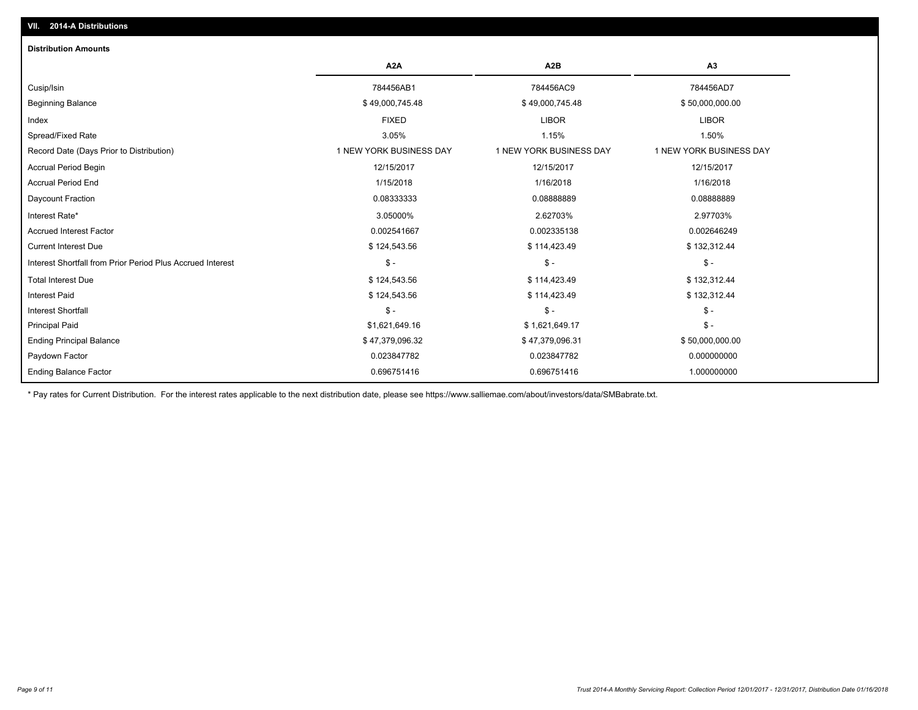| <b>Distribution Amounts</b>                                |                         |                         |                         |
|------------------------------------------------------------|-------------------------|-------------------------|-------------------------|
|                                                            | A <sub>2</sub> A        | A <sub>2</sub> B        | A3                      |
| Cusip/Isin                                                 | 784456AB1               | 784456AC9               | 784456AD7               |
| <b>Beginning Balance</b>                                   | \$49,000,745.48         | \$49,000,745.48         | \$50,000,000.00         |
| Index                                                      | <b>FIXED</b>            | <b>LIBOR</b>            | <b>LIBOR</b>            |
| Spread/Fixed Rate                                          | 3.05%                   | 1.15%                   | 1.50%                   |
| Record Date (Days Prior to Distribution)                   | 1 NEW YORK BUSINESS DAY | 1 NEW YORK BUSINESS DAY | 1 NEW YORK BUSINESS DAY |
| <b>Accrual Period Begin</b>                                | 12/15/2017              | 12/15/2017              | 12/15/2017              |
| <b>Accrual Period End</b>                                  | 1/15/2018               | 1/16/2018               | 1/16/2018               |
| Daycount Fraction                                          | 0.08333333              | 0.0888889               | 0.08888889              |
| Interest Rate*                                             | 3.05000%                | 2.62703%                | 2.97703%                |
| <b>Accrued Interest Factor</b>                             | 0.002541667             | 0.002335138             | 0.002646249             |
| <b>Current Interest Due</b>                                | \$124,543.56            | \$114,423.49            | \$132,312.44            |
| Interest Shortfall from Prior Period Plus Accrued Interest | $\mathsf{\$}$ -         | $S -$                   | $S -$                   |
| <b>Total Interest Due</b>                                  | \$124,543.56            | \$114,423.49            | \$132,312.44            |
| <b>Interest Paid</b>                                       | \$124,543.56            | \$114,423.49            | \$132,312.44            |
| <b>Interest Shortfall</b>                                  | $\mathsf{\$}$ -         | $S -$                   | $$ -$                   |
| <b>Principal Paid</b>                                      | \$1,621,649.16          | \$1,621,649.17          | $\mathsf{\$}$ -         |
| <b>Ending Principal Balance</b>                            | \$47,379,096.32         | \$47,379,096.31         | \$50,000,000.00         |
| Paydown Factor                                             | 0.023847782             | 0.023847782             | 0.000000000             |
| <b>Ending Balance Factor</b>                               | 0.696751416             | 0.696751416             | 1.000000000             |

\* Pay rates for Current Distribution. For the interest rates applicable to the next distribution date, please see https://www.salliemae.com/about/investors/data/SMBabrate.txt.

**VII. 2014-A Distributions**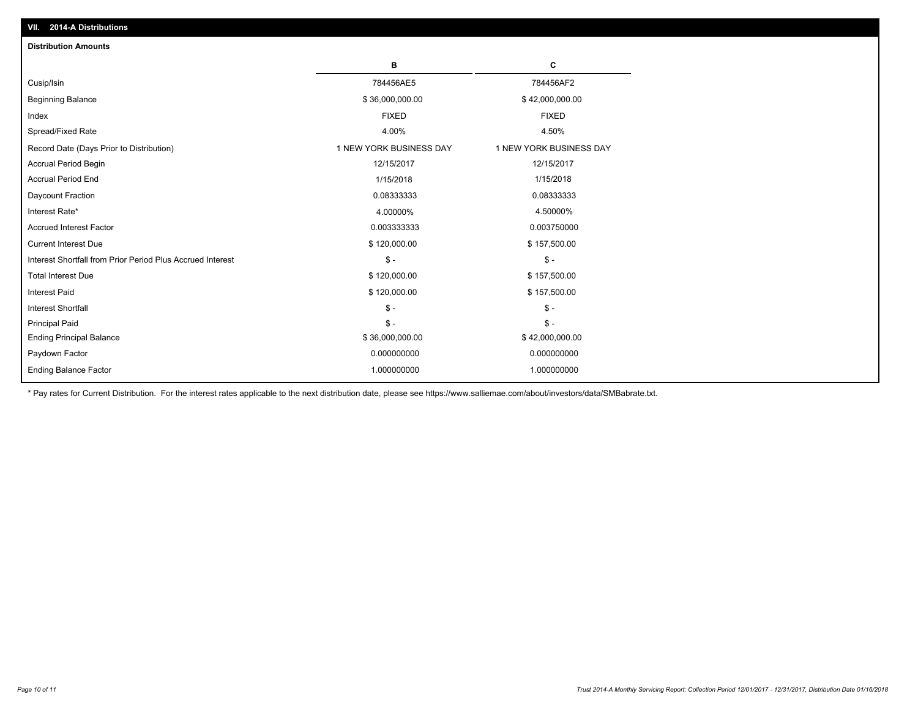| <b>Distribution Amounts</b>                                |                         |                         |
|------------------------------------------------------------|-------------------------|-------------------------|
|                                                            | в                       | C                       |
| Cusip/Isin                                                 | 784456AE5               | 784456AF2               |
| <b>Beginning Balance</b>                                   | \$36,000,000.00         | \$42,000,000.00         |
| Index                                                      | <b>FIXED</b>            | <b>FIXED</b>            |
| Spread/Fixed Rate                                          | 4.00%                   | 4.50%                   |
| Record Date (Days Prior to Distribution)                   | 1 NEW YORK BUSINESS DAY | 1 NEW YORK BUSINESS DAY |
| <b>Accrual Period Begin</b>                                | 12/15/2017              | 12/15/2017              |
| <b>Accrual Period End</b>                                  | 1/15/2018               | 1/15/2018               |
| Daycount Fraction                                          | 0.08333333              | 0.08333333              |
| Interest Rate*                                             | 4.00000%                | 4.50000%                |
| <b>Accrued Interest Factor</b>                             | 0.003333333             | 0.003750000             |
| <b>Current Interest Due</b>                                | \$120,000.00            | \$157,500.00            |
| Interest Shortfall from Prior Period Plus Accrued Interest | $\mathcal{S}$ -         | $\mathsf{\$}$ -         |
| <b>Total Interest Due</b>                                  | \$120,000.00            | \$157,500.00            |
| Interest Paid                                              | \$120,000.00            | \$157,500.00            |
| <b>Interest Shortfall</b>                                  | $\mathcal{S}$ -         | $$ -$                   |
| <b>Principal Paid</b>                                      | $S -$                   | $S -$                   |
| <b>Ending Principal Balance</b>                            | \$36,000,000.00         | \$42,000,000.00         |
| Paydown Factor                                             | 0.000000000             | 0.000000000             |
| <b>Ending Balance Factor</b>                               | 1.000000000             | 1.000000000             |

\* Pay rates for Current Distribution. For the interest rates applicable to the next distribution date, please see https://www.salliemae.com/about/investors/data/SMBabrate.txt.

**VII. 2014-A Distributions**